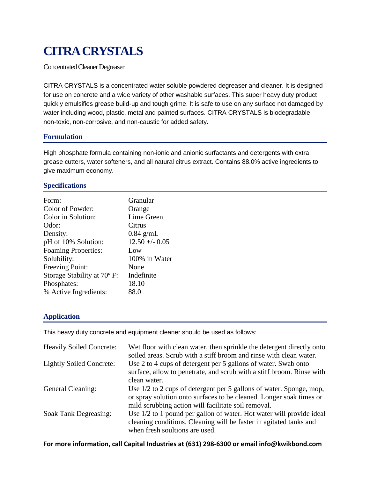# **CITRA CRYSTALS**

Concentrated Cleaner Degreaser

CITRA CRYSTALS is a concentrated water soluble powdered degreaser and cleaner. It is designed for use on concrete and a wide variety of other washable surfaces. This super heavy duty product quickly emulsifies grease build-up and tough grime. It is safe to use on any surface not damaged by water including wood, plastic, metal and painted surfaces. CITRA CRYSTALS is biodegradable, non-toxic, non-corrosive, and non-caustic for added safety.

## **Formulation**

High phosphate formula containing non-ionic and anionic surfactants and detergents with extra grease cutters, water softeners, and all natural citrus extract. Contains 88.0% active ingredients to give maximum economy.

## **Specifications**

| Granular        |
|-----------------|
| Orange          |
| Lime Green      |
| Citrus          |
| $0.84$ g/mL     |
| $12.50 + -0.05$ |
| Low             |
| 100% in Water   |
| None            |
| Indefinite      |
| 18.10           |
| 88.0            |
|                 |

# **Application**

This heavy duty concrete and equipment cleaner should be used as follows:

| <b>Heavily Soiled Concrete:</b> | Wet floor with clean water, then sprinkle the detergent directly onto<br>soiled areas. Scrub with a stiff broom and rinse with clean water.                                                       |
|---------------------------------|---------------------------------------------------------------------------------------------------------------------------------------------------------------------------------------------------|
| <b>Lightly Soiled Concrete:</b> | Use 2 to 4 cups of detergent per 5 gallons of water. Swab onto<br>surface, allow to penetrate, and scrub with a stiff broom. Rinse with<br>clean water.                                           |
| General Cleaning:               | Use 1/2 to 2 cups of detergent per 5 gallons of water. Sponge, mop,<br>or spray solution onto surfaces to be cleaned. Longer soak times or<br>mild scrubbing action will facilitate soil removal. |
| Soak Tank Degreasing:           | Use 1/2 to 1 pound per gallon of water. Hot water will provide ideal<br>cleaning conditions. Cleaning will be faster in agitated tanks and<br>when fresh soultions are used.                      |

#### **For more information, call Capital Industries at (631) 298-6300 or email info@kwikbond.com**